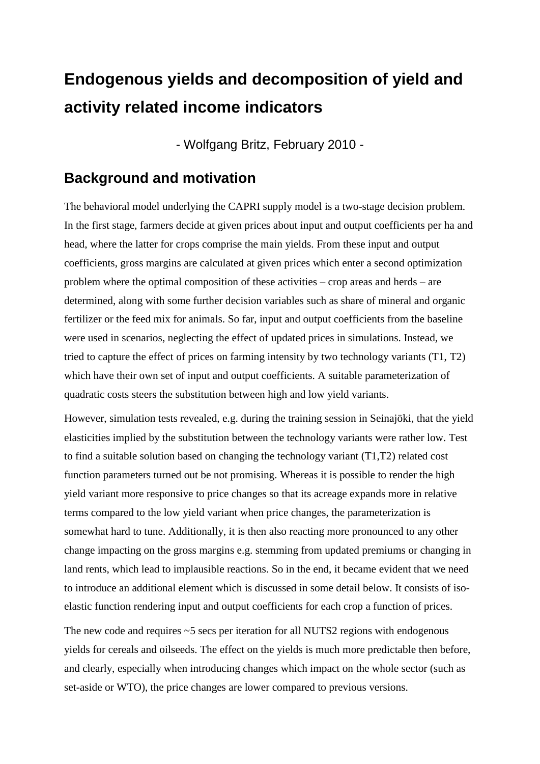# **Endogenous yields and decomposition of yield and activity related income indicators**

- Wolfgang Britz, February 2010 -

#### **Background and motivation**

The behavioral model underlying the CAPRI supply model is a two-stage decision problem. In the first stage, farmers decide at given prices about input and output coefficients per ha and head, where the latter for crops comprise the main yields. From these input and output coefficients, gross margins are calculated at given prices which enter a second optimization problem where the optimal composition of these activities – crop areas and herds – are determined, along with some further decision variables such as share of mineral and organic fertilizer or the feed mix for animals. So far, input and output coefficients from the baseline were used in scenarios, neglecting the effect of updated prices in simulations. Instead, we tried to capture the effect of prices on farming intensity by two technology variants (T1, T2) which have their own set of input and output coefficients. A suitable parameterization of quadratic costs steers the substitution between high and low yield variants.

However, simulation tests revealed, e.g. during the training session in Seinajöki, that the yield elasticities implied by the substitution between the technology variants were rather low. Test to find a suitable solution based on changing the technology variant (T1,T2) related cost function parameters turned out be not promising. Whereas it is possible to render the high yield variant more responsive to price changes so that its acreage expands more in relative terms compared to the low yield variant when price changes, the parameterization is somewhat hard to tune. Additionally, it is then also reacting more pronounced to any other change impacting on the gross margins e.g. stemming from updated premiums or changing in land rents, which lead to implausible reactions. So in the end, it became evident that we need to introduce an additional element which is discussed in some detail below. It consists of isoelastic function rendering input and output coefficients for each crop a function of prices.

The new code and requires ~5 secs per iteration for all NUTS2 regions with endogenous yields for cereals and oilseeds. The effect on the yields is much more predictable then before, and clearly, especially when introducing changes which impact on the whole sector (such as set-aside or WTO), the price changes are lower compared to previous versions.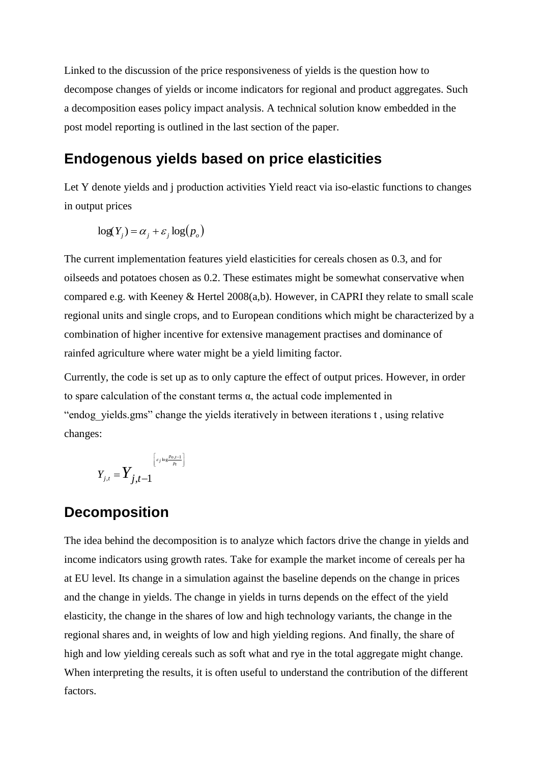Linked to the discussion of the price responsiveness of yields is the question how to decompose changes of yields or income indicators for regional and product aggregates. Such a decomposition eases policy impact analysis. A technical solution know embedded in the post model reporting is outlined in the last section of the paper.

#### **Endogenous yields based on price elasticities**

Let Y denote yields and j production activities Yield react via iso-elastic functions to changes in output prices

$$
\log(Y_j) = \alpha_j + \varepsilon_j \log(p_o)
$$

The current implementation features yield elasticities for cereals chosen as 0.3, and for oilseeds and potatoes chosen as 0.2. These estimates might be somewhat conservative when compared e.g. with Keeney & Hertel 2008(a,b). However, in CAPRI they relate to small scale regional units and single crops, and to European conditions which might be characterized by a combination of higher incentive for extensive management practises and dominance of rainfed agriculture where water might be a yield limiting factor.

Currently, the code is set up as to only capture the effect of output prices. However, in order to spare calculation of the constant terms α, the actual code implemented in "endog\_yields.gms" change the yields iteratively in between iterations t , using relative changes:

$$
Y_{j,t} = \n \begin{bmatrix} \frac{c_j \log \frac{p_{o,t-1}}{p_t}}{p_t} \end{bmatrix}
$$

### **Decomposition**

The idea behind the decomposition is to analyze which factors drive the change in yields and income indicators using growth rates. Take for example the market income of cereals per ha at EU level. Its change in a simulation against the baseline depends on the change in prices and the change in yields. The change in yields in turns depends on the effect of the yield elasticity, the change in the shares of low and high technology variants, the change in the regional shares and, in weights of low and high yielding regions. And finally, the share of high and low yielding cereals such as soft what and rye in the total aggregate might change. When interpreting the results, it is often useful to understand the contribution of the different factors.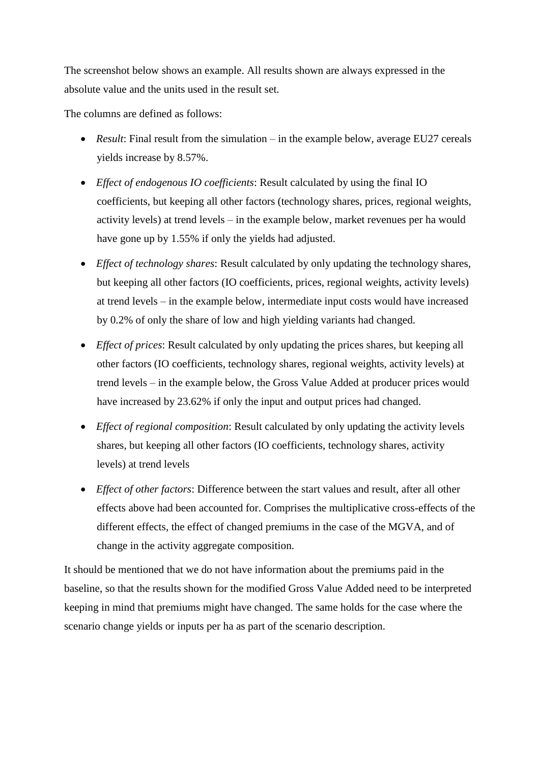The screenshot below shows an example. All results shown are always expressed in the absolute value and the units used in the result set.

The columns are defined as follows:

- *Result:* Final result from the simulation in the example below, average EU27 cereals yields increase by 8.57%.
- *Effect of endogenous IO coefficients*: Result calculated by using the final IO coefficients, but keeping all other factors (technology shares, prices, regional weights, activity levels) at trend levels – in the example below, market revenues per ha would have gone up by 1.55% if only the yields had adjusted.
- *Effect of technology shares*: Result calculated by only updating the technology shares, but keeping all other factors (IO coefficients, prices, regional weights, activity levels) at trend levels – in the example below, intermediate input costs would have increased by 0.2% of only the share of low and high yielding variants had changed.
- *Effect of prices*: Result calculated by only updating the prices shares, but keeping all other factors (IO coefficients, technology shares, regional weights, activity levels) at trend levels – in the example below, the Gross Value Added at producer prices would have increased by 23.62% if only the input and output prices had changed.
- *Effect of regional composition*: Result calculated by only updating the activity levels shares, but keeping all other factors (IO coefficients, technology shares, activity levels) at trend levels
- *Effect of other factors*: Difference between the start values and result, after all other effects above had been accounted for. Comprises the multiplicative cross-effects of the different effects, the effect of changed premiums in the case of the MGVA, and of change in the activity aggregate composition.

It should be mentioned that we do not have information about the premiums paid in the baseline, so that the results shown for the modified Gross Value Added need to be interpreted keeping in mind that premiums might have changed. The same holds for the case where the scenario change yields or inputs per ha as part of the scenario description.